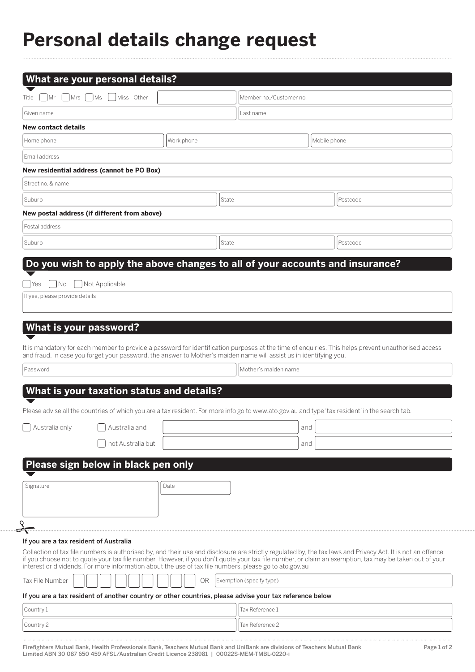## **Personal details change request**

| Title                                  | $\bigcap$ Mr $\bigcap$ Mrs $\bigcap$ Ms $\bigcap$ Miss Other                                                       |            |       | Member no./Customer no.  |              |                                                                                                                                                                                                                                                                                                                       |
|----------------------------------------|--------------------------------------------------------------------------------------------------------------------|------------|-------|--------------------------|--------------|-----------------------------------------------------------------------------------------------------------------------------------------------------------------------------------------------------------------------------------------------------------------------------------------------------------------------|
| Given name                             |                                                                                                                    |            |       | Last name                |              |                                                                                                                                                                                                                                                                                                                       |
| <b>New contact details</b>             |                                                                                                                    |            |       |                          |              |                                                                                                                                                                                                                                                                                                                       |
| Home phone                             |                                                                                                                    | Work phone |       |                          | Mobile phone |                                                                                                                                                                                                                                                                                                                       |
| Email address                          |                                                                                                                    |            |       |                          |              |                                                                                                                                                                                                                                                                                                                       |
|                                        | New residential address (cannot be PO Box)                                                                         |            |       |                          |              |                                                                                                                                                                                                                                                                                                                       |
| Street no. & name                      |                                                                                                                    |            |       |                          |              |                                                                                                                                                                                                                                                                                                                       |
| Suburb                                 |                                                                                                                    |            | State |                          |              | Postcode                                                                                                                                                                                                                                                                                                              |
|                                        | New postal address (if different from above)                                                                       |            |       |                          |              |                                                                                                                                                                                                                                                                                                                       |
| Postal address                         |                                                                                                                    |            |       |                          |              |                                                                                                                                                                                                                                                                                                                       |
| Suburb                                 |                                                                                                                    |            | State |                          |              | Postcode                                                                                                                                                                                                                                                                                                              |
|                                        |                                                                                                                    |            |       |                          |              |                                                                                                                                                                                                                                                                                                                       |
| <b>What is your password?</b>          | and fraud. In case you forget your password, the answer to Mother's maiden name will assist us in identifying you. |            |       |                          |              | It is mandatory for each member to provide a password for identification purposes at the time of enquiries. This helps prevent unauthorised access                                                                                                                                                                    |
| Password                               |                                                                                                                    |            |       | Mother's maiden name     |              |                                                                                                                                                                                                                                                                                                                       |
|                                        |                                                                                                                    |            |       |                          |              |                                                                                                                                                                                                                                                                                                                       |
|                                        | What is your taxation status and details?                                                                          |            |       |                          |              |                                                                                                                                                                                                                                                                                                                       |
|                                        |                                                                                                                    |            |       |                          |              | Please advise all the countries of which you are a tax resident. For more info go to www.ato.gov.au and type 'tax resident' in the search tab.                                                                                                                                                                        |
|                                        | $\bigcap$ Australia only $\bigcap$ Australia and                                                                   |            |       |                          | and          |                                                                                                                                                                                                                                                                                                                       |
|                                        | not Australia but                                                                                                  |            |       |                          | and          |                                                                                                                                                                                                                                                                                                                       |
|                                        |                                                                                                                    |            |       |                          |              |                                                                                                                                                                                                                                                                                                                       |
|                                        | Please sign below in black pen only                                                                                |            |       |                          |              |                                                                                                                                                                                                                                                                                                                       |
| Signature                              |                                                                                                                    | Date       |       |                          |              |                                                                                                                                                                                                                                                                                                                       |
|                                        |                                                                                                                    |            |       |                          |              |                                                                                                                                                                                                                                                                                                                       |
|                                        |                                                                                                                    |            |       |                          |              |                                                                                                                                                                                                                                                                                                                       |
|                                        |                                                                                                                    |            |       |                          |              |                                                                                                                                                                                                                                                                                                                       |
| If you are a tax resident of Australia | interest or dividends. For more information about the use of tax file numbers, please go to ato.gov.au             |            |       |                          |              | Collection of tax file numbers is authorised by, and their use and disclosure are strictly regulated by, the tax laws and Privacy Act. It is not an offence<br>if you choose not to quote your tax file number. However, if you don't quote your tax file number, or claim an exemption, tax may be taken out of your |
| Tax File Number                        |                                                                                                                    | <b>OR</b>  |       | Exemption (specify type) |              |                                                                                                                                                                                                                                                                                                                       |
|                                        | If you are a tax resident of another country or other countries, please advise your tax reference below            |            |       |                          |              |                                                                                                                                                                                                                                                                                                                       |
| Country 1                              |                                                                                                                    |            |       | Tax Reference 1          |              |                                                                                                                                                                                                                                                                                                                       |

Firefighters Mutual Bank, Health Professionals Bank, Teachers Mutual Bank and UniBank are divisions of Teachers Mutual Bank Page 1 of 2 Limited ABN 30 087 650 459 AFSL/Australian Credit Licence 238981 | 00022S-MEM-TMBL-0220-i